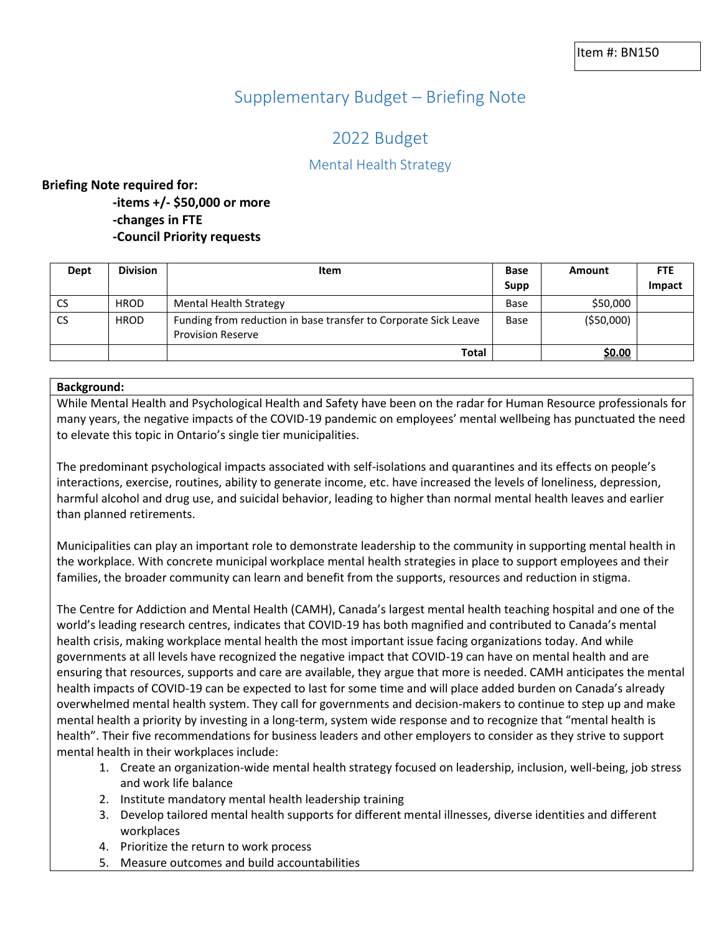# Supplementary Budget – Briefing Note

# 2022 Budget

# Mental Health Strategy

## **Briefing Note required for:**

**-items +/- \$50,000 or more -changes in FTE -Council Priority requests**

| Dept      | <b>Division</b> | Item                                                                                        | <b>Base</b> | Amount      | <b>FTE</b> |
|-----------|-----------------|---------------------------------------------------------------------------------------------|-------------|-------------|------------|
|           |                 |                                                                                             | Supp        |             | Impact     |
| <b>CS</b> | <b>HROD</b>     | <b>Mental Health Strategy</b>                                                               | Base        | \$50,000    |            |
| CS.       | <b>HROD</b>     | Funding from reduction in base transfer to Corporate Sick Leave<br><b>Provision Reserve</b> | Base        | ( \$50,000) |            |
|           |                 | Total                                                                                       |             | \$0.00      |            |

### **Background:**

While Mental Health and Psychological Health and Safety have been on the radar for Human Resource professionals for many years, the negative impacts of the COVID-19 pandemic on employees' mental wellbeing has punctuated the need to elevate this topic in Ontario's single tier municipalities.

The predominant psychological impacts associated with self-isolations and quarantines and its effects on people's interactions, exercise, routines, ability to generate income, etc. have increased the levels of loneliness, depression, harmful alcohol and drug use, and suicidal behavior, leading to higher than normal mental health leaves and earlier than planned retirements.

Municipalities can play an important role to demonstrate leadership to the community in supporting mental health in the workplace. With concrete municipal workplace mental health strategies in place to support employees and their families, the broader community can learn and benefit from the supports, resources and reduction in stigma.

The Centre for Addiction and Mental Health (CAMH), Canada's largest mental health teaching hospital and one of the world's leading research centres, indicates that COVID-19 has both magnified and contributed to Canada's mental health crisis, making workplace mental health the most important issue facing organizations today. And while governments at all levels have recognized the negative impact that COVID-19 can have on mental health and are ensuring that resources, supports and care are available, they argue that more is needed. CAMH anticipates the mental health impacts of COVID-19 can be expected to last for some time and will place added burden on Canada's already overwhelmed mental health system. They call for governments and decision-makers to continue to step up and make mental health a priority by investing in a long-term, system wide response and to recognize that "mental health is health". Their five recommendations for business leaders and other employers to consider as they strive to support mental health in their workplaces include:

- 1. Create an organization-wide mental health strategy focused on leadership, inclusion, well-being, job stress and work life balance
- 2. Institute mandatory mental health leadership training
- 3. Develop tailored mental health supports for different mental illnesses, diverse identities and different workplaces
- 4. Prioritize the return to work process
- 5. Measure outcomes and build accountabilities